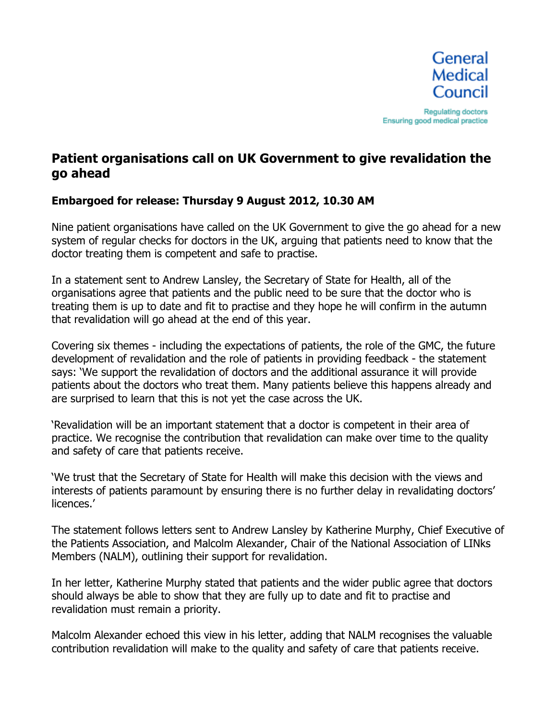

# **Patient organisations call on UK Government to give revalidation the go ahead**

### **Embargoed for release: Thursday 9 August 2012, 10.30 AM**

Nine patient organisations have called on the UK Government to give the go ahead for a new system of regular checks for doctors in the UK, arguing that patients need to know that the doctor treating them is competent and safe to practise.

In a statement sent to Andrew Lansley, the Secretary of State for Health, all of the organisations agree that patients and the public need to be sure that the doctor who is treating them is up to date and fit to practise and they hope he will confirm in the autumn that revalidation will go ahead at the end of this year.

Covering six themes - including the expectations of patients, the role of the GMC, the future development of revalidation and the role of patients in providing feedback - the statement says: 'We support the revalidation of doctors and the additional assurance it will provide patients about the doctors who treat them. Many patients believe this happens already and are surprised to learn that this is not yet the case across the UK.

'Revalidation will be an important statement that a doctor is competent in their area of practice. We recognise the contribution that revalidation can make over time to the quality and safety of care that patients receive.

'We trust that the Secretary of State for Health will make this decision with the views and interests of patients paramount by ensuring there is no further delay in revalidating doctors' licences.'

The statement follows letters sent to Andrew Lansley by Katherine Murphy, Chief Executive of the Patients Association, and Malcolm Alexander, Chair of the National Association of LINks Members (NALM), outlining their support for revalidation.

In her letter, Katherine Murphy stated that patients and the wider public agree that doctors should always be able to show that they are fully up to date and fit to practise and revalidation must remain a priority.

Malcolm Alexander echoed this view in his letter, adding that NALM recognises the valuable contribution revalidation will make to the quality and safety of care that patients receive.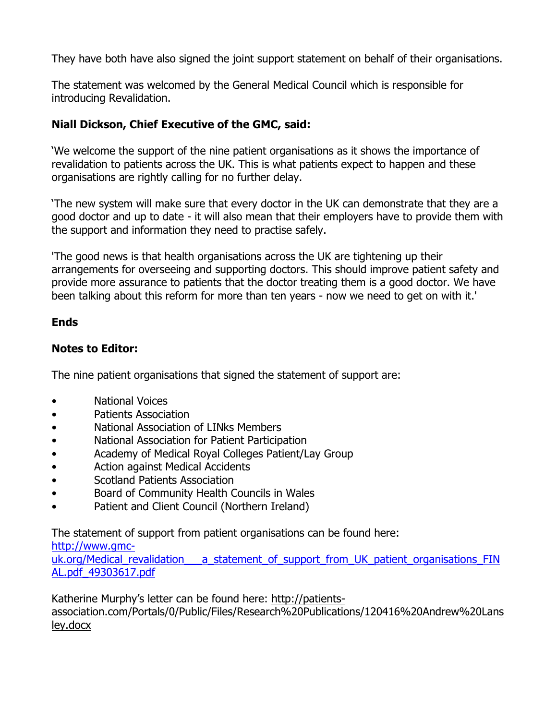They have both have also signed the joint support statement on behalf of their organisations.

The statement was welcomed by the General Medical Council which is responsible for introducing Revalidation.

## **Niall Dickson, Chief Executive of the GMC, said:**

'We welcome the support of the nine patient organisations as it shows the importance of revalidation to patients across the UK. This is what patients expect to happen and these organisations are rightly calling for no further delay.

'The new system will make sure that every doctor in the UK can demonstrate that they are a good doctor and up to date - it will also mean that their employers have to provide them with the support and information they need to practise safely.

'The good news is that health organisations across the UK are tightening up their arrangements for overseeing and supporting doctors. This should improve patient safety and provide more assurance to patients that the doctor treating them is a good doctor. We have been talking about this reform for more than ten years - now we need to get on with it.'

## **Ends**

## **Notes to Editor:**

The nine patient organisations that signed the statement of support are:

- National Voices
- Patients Association
- National Association of LINks Members
- National Association for Patient Participation
- Academy of Medical Royal Colleges Patient/Lay Group
- Action against Medical Accidents
- Scotland Patients Association
- Board of Community Health Councils in Wales
- Patient and Client Council (Northern Ireland)

The statement of support from patient organisations can be found here:

#### http://www.gmc-

uk.org/Medical\_revalidation\_\_\_a\_statement\_of\_support\_from\_UK\_patient\_organisations\_FIN AL.pdf\_49303617.pdf

Katherine Murphy's letter can be found here: http://patients-

association.com/Portals/0/Public/Files/Research%20Publications/120416%20Andrew%20Lans ley.docx